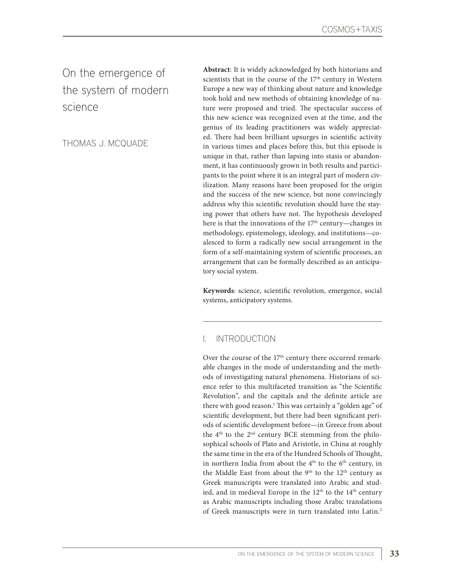On the emergence of the system of modern science

THOMAS J. MCQUADE

**Abstract**: It is widely acknowledged by both historians and scientists that in the course of the 17<sup>th</sup> century in Western Europe a new way of thinking about nature and knowledge took hold and new methods of obtaining knowledge of nature were proposed and tried. The spectacular success of this new science was recognized even at the time, and the genius of its leading practitioners was widely appreciated. There had been brilliant upsurges in scientific activity in various times and places before this, but this episode is unique in that, rather than lapsing into stasis or abandonment, it has continuously grown in both results and participants to the point where it is an integral part of modern civilization. Many reasons have been proposed for the origin and the success of the new science, but none convincingly address why this scientific revolution should have the staying power that others have not. The hypothesis developed here is that the innovations of the 17<sup>th</sup> century—changes in methodology, epistemology, ideology, and institutions—coalesced to form a radically new social arrangement in the form of a self-maintaining system of scientific processes, an arrangement that can be formally described as an anticipatory social system.

**Keywords**: science, scientific revolution, emergence, social systems, anticipatory systems.

# I. INTRODUCTION

Over the course of the 17<sup>th</sup> century there occurred remarkable changes in the mode of understanding and the methods of investigating natural phenomena. Historians of science refer to this multifaceted transition as "the Scientific Revolution", and the capitals and the definite article are there with good reason.1 This was certainly a "golden age" of scientific development, but there had been significant periods of scientific development before—in Greece from about the 4<sup>th</sup> to the 2<sup>nd</sup> century BCE stemming from the philosophical schools of Plato and Aristotle, in China at roughly the same time in the era of the Hundred Schools of Thought, in northern India from about the 4<sup>th</sup> to the 6<sup>th</sup> century, in the Middle East from about the  $9<sup>th</sup>$  to the  $12<sup>th</sup>$  century as Greek manuscripts were translated into Arabic and studied, and in medieval Europe in the 12<sup>th</sup> to the 14<sup>th</sup> century as Arabic manuscripts including those Arabic translations of Greek manuscripts were in turn translated into Latin.2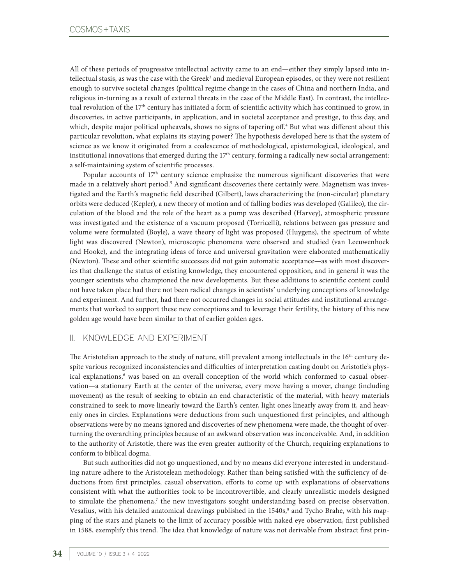All of these periods of progressive intellectual activity came to an end—either they simply lapsed into intellectual stasis, as was the case with the Greek<sup>3</sup> and medieval European episodes, or they were not resilient enough to survive societal changes (political regime change in the cases of China and northern India, and religious in-turning as a result of external threats in the case of the Middle East). In contrast, the intellectual revolution of the 17th century has initiated a form of scientific activity which has continued to grow, in discoveries, in active participants, in application, and in societal acceptance and prestige, to this day, and which, despite major political upheavals, shows no signs of tapering off.<sup>4</sup> But what was different about this particular revolution, what explains its staying power? The hypothesis developed here is that the system of science as we know it originated from a coalescence of methodological, epistemological, ideological, and institutional innovations that emerged during the  $17<sup>th</sup>$  century, forming a radically new social arrangement: a self-maintaining system of scientific processes.

Popular accounts of 17<sup>th</sup> century science emphasize the numerous significant discoveries that were made in a relatively short period.<sup>5</sup> And significant discoveries there certainly were. Magnetism was investigated and the Earth's magnetic field described (Gilbert), laws characterizing the (non-circular) planetary orbits were deduced (Kepler), a new theory of motion and of falling bodies was developed (Galileo), the circulation of the blood and the role of the heart as a pump was described (Harvey), atmospheric pressure was investigated and the existence of a vacuum proposed (Torricelli), relations between gas pressure and volume were formulated (Boyle), a wave theory of light was proposed (Huygens), the spectrum of white light was discovered (Newton), microscopic phenomena were observed and studied (van Leeuwenhoek and Hooke), and the integrating ideas of force and universal gravitation were elaborated mathematically (Newton). These and other scientific successes did not gain automatic acceptance—as with most discoveries that challenge the status of existing knowledge, they encountered opposition, and in general it was the younger scientists who championed the new developments. But these additions to scientific content could not have taken place had there not been radical changes in scientists' underlying conceptions of knowledge and experiment. And further, had there not occurred changes in social attitudes and institutional arrangements that worked to support these new conceptions and to leverage their fertility, the history of this new golden age would have been similar to that of earlier golden ages.

# II. KNOWLEDGE AND EXPERIMENT

The Aristotelian approach to the study of nature, still prevalent among intellectuals in the 16<sup>th</sup> century despite various recognized inconsistencies and difficulties of interpretation casting doubt on Aristotle's physical explanations,<sup>6</sup> was based on an overall conception of the world which conformed to casual observation—a stationary Earth at the center of the universe, every move having a mover, change (including movement) as the result of seeking to obtain an end characteristic of the material, with heavy materials constrained to seek to move linearly toward the Earth's center, light ones linearly away from it, and heavenly ones in circles. Explanations were deductions from such unquestioned first principles, and although observations were by no means ignored and discoveries of new phenomena were made, the thought of overturning the overarching principles because of an awkward observation was inconceivable. And, in addition to the authority of Aristotle, there was the even greater authority of the Church, requiring explanations to conform to biblical dogma.

But such authorities did not go unquestioned, and by no means did everyone interested in understanding nature adhere to the Aristotelean methodology. Rather than being satisfied with the sufficiency of deductions from first principles, casual observation, efforts to come up with explanations of observations consistent with what the authorities took to be incontrovertible, and clearly unrealistic models designed to simulate the phenomena,<sup>7</sup> the new investigators sought understanding based on precise observation. Vesalius, with his detailed anatomical drawings published in the 1540s,8 and Tycho Brahe, with his mapping of the stars and planets to the limit of accuracy possible with naked eye observation, first published in 1588, exemplify this trend. The idea that knowledge of nature was not derivable from abstract first prin-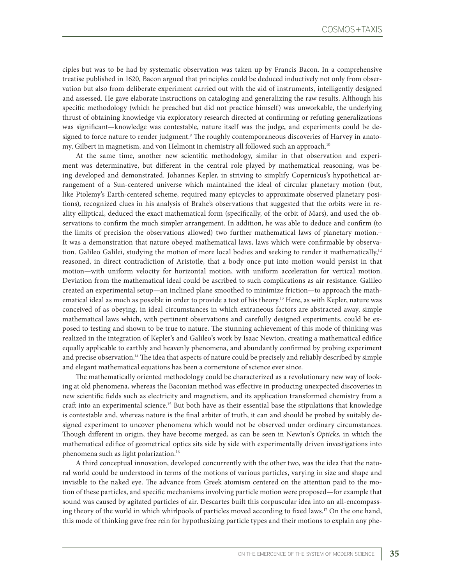ciples but was to be had by systematic observation was taken up by Francis Bacon. In a comprehensive treatise published in 1620, Bacon argued that principles could be deduced inductively not only from observation but also from deliberate experiment carried out with the aid of instruments, intelligently designed and assessed. He gave elaborate instructions on cataloging and generalizing the raw results. Although his specific methodology (which he preached but did not practice himself) was unworkable, the underlying thrust of obtaining knowledge via exploratory research directed at confirming or refuting generalizations was significant—knowledge was contestable, nature itself was the judge, and experiments could be designed to force nature to render judgment.<sup>9</sup> The roughly contemporaneous discoveries of Harvey in anatomy, Gilbert in magnetism, and von Helmont in chemistry all followed such an approach.<sup>10</sup>

At the same time, another new scientific methodology, similar in that observation and experiment was determinative, but different in the central role played by mathematical reasoning, was being developed and demonstrated. Johannes Kepler, in striving to simplify Copernicus's hypothetical arrangement of a Sun-centered universe which maintained the ideal of circular planetary motion (but, like Ptolemy's Earth-centered scheme, required many epicycles to approximate observed planetary positions), recognized clues in his analysis of Brahe's observations that suggested that the orbits were in reality elliptical, deduced the exact mathematical form (specifically, of the orbit of Mars), and used the observations to confirm the much simpler arrangement. In addition, he was able to deduce and confirm (to the limits of precision the observations allowed) two further mathematical laws of planetary motion.<sup>11</sup> It was a demonstration that nature obeyed mathematical laws, laws which were confirmable by observation. Galileo Galilei, studying the motion of more local bodies and seeking to render it mathematically,<sup>12</sup> reasoned, in direct contradiction of Aristotle, that a body once put into motion would persist in that motion—with uniform velocity for horizontal motion, with uniform acceleration for vertical motion. Deviation from the mathematical ideal could be ascribed to such complications as air resistance. Galileo created an experimental setup—an inclined plane smoothed to minimize friction—to approach the mathematical ideal as much as possible in order to provide a test of his theory.13 Here, as with Kepler, nature was conceived of as obeying, in ideal circumstances in which extraneous factors are abstracted away, simple mathematical laws which, with pertinent observations and carefully designed experiments, could be exposed to testing and shown to be true to nature. The stunning achievement of this mode of thinking was realized in the integration of Kepler's and Galileo's work by Isaac Newton, creating a mathematical edifice equally applicable to earthly and heavenly phenomena, and abundantly confirmed by probing experiment and precise observation.14 The idea that aspects of nature could be precisely and reliably described by simple and elegant mathematical equations has been a cornerstone of science ever since.

The mathematically oriented methodology could be characterized as a revolutionary new way of looking at old phenomena, whereas the Baconian method was effective in producing unexpected discoveries in new scientific fields such as electricity and magnetism, and its application transformed chemistry from a craft into an experimental science.15 But both have as their essential base the stipulations that knowledge is contestable and, whereas nature is the final arbiter of truth, it can and should be probed by suitably designed experiment to uncover phenomena which would not be observed under ordinary circumstances. Though different in origin, they have become merged, as can be seen in Newton's *Opticks*, in which the mathematical edifice of geometrical optics sits side by side with experimentally driven investigations into phenomena such as light polarization.16

A third conceptual innovation, developed concurrently with the other two, was the idea that the natural world could be understood in terms of the motions of various particles, varying in size and shape and invisible to the naked eye. The advance from Greek atomism centered on the attention paid to the motion of these particles, and specific mechanisms involving particle motion were proposed—for example that sound was caused by agitated particles of air. Descartes built this corpuscular idea into an all-encompassing theory of the world in which whirlpools of particles moved according to fixed laws.<sup>17</sup> On the one hand, this mode of thinking gave free rein for hypothesizing particle types and their motions to explain any phe-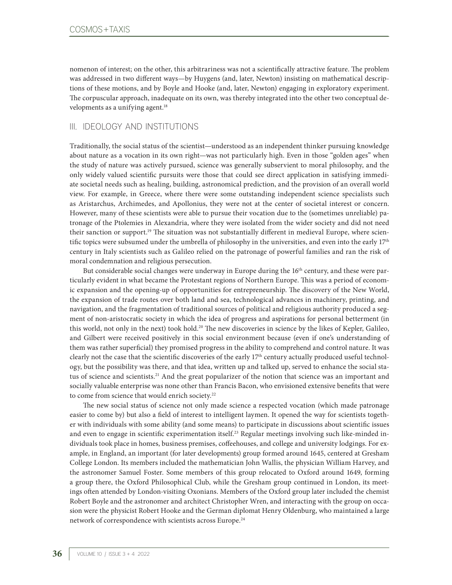nomenon of interest; on the other, this arbitrariness was not a scientifically attractive feature. The problem was addressed in two different ways—by Huygens (and, later, Newton) insisting on mathematical descriptions of these motions, and by Boyle and Hooke (and, later, Newton) engaging in exploratory experiment. The corpuscular approach, inadequate on its own, was thereby integrated into the other two conceptual developments as a unifying agent.<sup>18</sup>

## III. IDEOLOGY AND INSTITUTIONS

Traditionally, the social status of the scientist—understood as an independent thinker pursuing knowledge about nature as a vocation in its own right—was not particularly high. Even in those "golden ages" when the study of nature was actively pursued, science was generally subservient to moral philosophy, and the only widely valued scientific pursuits were those that could see direct application in satisfying immediate societal needs such as healing, building, astronomical prediction, and the provision of an overall world view. For example, in Greece, where there were some outstanding independent science specialists such as Aristarchus, Archimedes, and Apollonius, they were not at the center of societal interest or concern. However, many of these scientists were able to pursue their vocation due to the (sometimes unreliable) patronage of the Ptolemies in Alexandria, where they were isolated from the wider society and did not need their sanction or support.<sup>19</sup> The situation was not substantially different in medieval Europe, where scientific topics were subsumed under the umbrella of philosophy in the universities, and even into the early  $17<sup>th</sup>$ century in Italy scientists such as Galileo relied on the patronage of powerful families and ran the risk of moral condemnation and religious persecution.

But considerable social changes were underway in Europe during the 16<sup>th</sup> century, and these were particularly evident in what became the Protestant regions of Northern Europe. This was a period of economic expansion and the opening-up of opportunities for entrepreneurship. The discovery of the New World, the expansion of trade routes over both land and sea, technological advances in machinery, printing, and navigation, and the fragmentation of traditional sources of political and religious authority produced a segment of non-aristocratic society in which the idea of progress and aspirations for personal betterment (in this world, not only in the next) took hold.20 The new discoveries in science by the likes of Kepler, Galileo, and Gilbert were received positively in this social environment because (even if one's understanding of them was rather superficial) they promised progress in the ability to comprehend and control nature. It was clearly not the case that the scientific discoveries of the early 17<sup>th</sup> century actually produced useful technology, but the possibility was there, and that idea, written up and talked up, served to enhance the social status of science and scientists.<sup>21</sup> And the great popularizer of the notion that science was an important and socially valuable enterprise was none other than Francis Bacon, who envisioned extensive benefits that were to come from science that would enrich society.<sup>22</sup>

The new social status of science not only made science a respected vocation (which made patronage easier to come by) but also a field of interest to intelligent laymen. It opened the way for scientists together with individuals with some ability (and some means) to participate in discussions about scientific issues and even to engage in scientific experimentation itself.<sup>23</sup> Regular meetings involving such like-minded individuals took place in homes, business premises, coffeehouses, and college and university lodgings. For example, in England, an important (for later developments) group formed around 1645, centered at Gresham College London. Its members included the mathematician John Wallis, the physician William Harvey, and the astronomer Samuel Foster. Some members of this group relocated to Oxford around 1649, forming a group there, the Oxford Philosophical Club, while the Gresham group continued in London, its meetings often attended by London-visiting Oxonians. Members of the Oxford group later included the chemist Robert Boyle and the astronomer and architect Christopher Wren, and interacting with the group on occasion were the physicist Robert Hooke and the German diplomat Henry Oldenburg, who maintained a large network of correspondence with scientists across Europe.24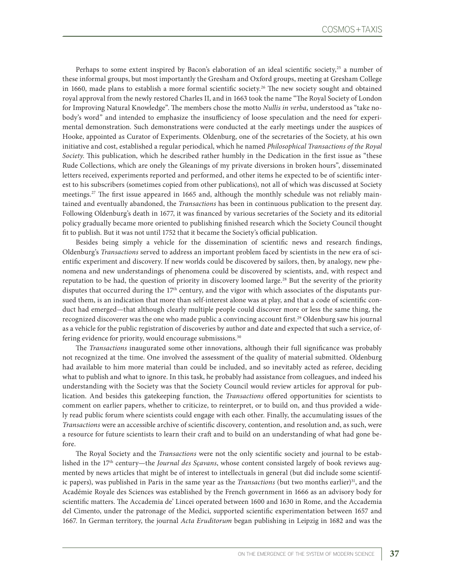Perhaps to some extent inspired by Bacon's elaboration of an ideal scientific society,<sup>25</sup> a number of these informal groups, but most importantly the Gresham and Oxford groups, meeting at Gresham College in 1660, made plans to establish a more formal scientific society.<sup>26</sup> The new society sought and obtained royal approval from the newly restored Charles II, and in 1663 took the name "The Royal Society of London for Improving Natural Knowledge". The members chose the motto *Nullis in verba*, understood as "take nobody's word" and intended to emphasize the insufficiency of loose speculation and the need for experimental demonstration. Such demonstrations were conducted at the early meetings under the auspices of Hooke, appointed as Curator of Experiments. Oldenburg, one of the secretaries of the Society, at his own initiative and cost, established a regular periodical, which he named *Philosophical Transactions of the Royal Society*. This publication, which he described rather humbly in the Dedication in the first issue as "these Rude Collections, which are onely the Gleanings of my private diversions in broken hours", disseminated letters received, experiments reported and performed, and other items he expected to be of scientific interest to his subscribers (sometimes copied from other publications), not all of which was discussed at Society meetings.<sup>27</sup> The first issue appeared in 1665 and, although the monthly schedule was not reliably maintained and eventually abandoned, the *Transactions* has been in continuous publication to the present day. Following Oldenburg's death in 1677, it was financed by various secretaries of the Society and its editorial policy gradually became more oriented to publishing finished research which the Society Council thought fit to publish. But it was not until 1752 that it became the Society's official publication.

Besides being simply a vehicle for the dissemination of scientific news and research findings, Oldenburg's *Transactions* served to address an important problem faced by scientists in the new era of scientific experiment and discovery. If new worlds could be discovered by sailors, then, by analogy, new phenomena and new understandings of phenomena could be discovered by scientists, and, with respect and reputation to be had, the question of priority in discovery loomed large.28 But the severity of the priority disputes that occurred during the  $17<sup>th</sup>$  century, and the vigor with which associates of the disputants pursued them, is an indication that more than self-interest alone was at play, and that a code of scientific conduct had emerged—that although clearly multiple people could discover more or less the same thing, the recognized discoverer was the one who made public a convincing account first.29 Oldenburg saw his journal as a vehicle for the public registration of discoveries by author and date and expected that such a service, offering evidence for priority, would encourage submissions.<sup>30</sup>

The *Transactions* inaugurated some other innovations, although their full significance was probably not recognized at the time. One involved the assessment of the quality of material submitted. Oldenburg had available to him more material than could be included, and so inevitably acted as referee, deciding what to publish and what to ignore. In this task, he probably had assistance from colleagues, and indeed his understanding with the Society was that the Society Council would review articles for approval for publication. And besides this gatekeeping function, the *Transactions* offered opportunities for scientists to comment on earlier papers, whether to criticize, to reinterpret, or to build on, and thus provided a widely read public forum where scientists could engage with each other. Finally, the accumulating issues of the *Transactions* were an accessible archive of scientific discovery, contention, and resolution and, as such, were a resource for future scientists to learn their craft and to build on an understanding of what had gone before.

The Royal Society and the *Transactions* were not the only scientific society and journal to be established in the 17th century—the *Journal des Sçavans*, whose content consisted largely of book reviews augmented by news articles that might be of interest to intellectuals in general (but did include some scientific papers), was published in Paris in the same year as the *Transactions* (but two months earlier)<sup>31</sup>, and the Académie Royale des Sciences was established by the French government in 1666 as an advisory body for scientific matters. The Accademia de' Lincei operated between 1600 and 1630 in Rome, and the Accademia del Cimento, under the patronage of the Medici, supported scientific experimentation between 1657 and 1667. In German territory, the journal *Acta Eruditorum* began publishing in Leipzig in 1682 and was the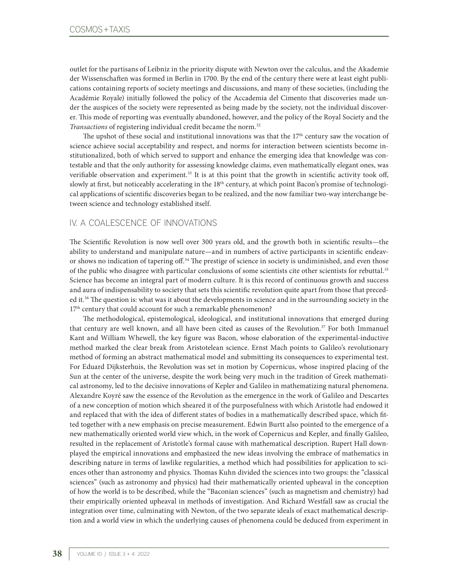outlet for the partisans of Leibniz in the priority dispute with Newton over the calculus, and the Akademie der Wissenschaften was formed in Berlin in 1700. By the end of the century there were at least eight publications containing reports of society meetings and discussions, and many of these societies, (including the Académie Royale) initially followed the policy of the Accademia del Cimento that discoveries made under the auspices of the society were represented as being made by the society, not the individual discoverer. This mode of reporting was eventually abandoned, however, and the policy of the Royal Society and the *Transactions* of registering individual credit became the norm.<sup>32</sup>

The upshot of these social and institutional innovations was that the  $17<sup>th</sup>$  century saw the vocation of science achieve social acceptability and respect, and norms for interaction between scientists become institutionalized, both of which served to support and enhance the emerging idea that knowledge was contestable and that the only authority for assessing knowledge claims, even mathematically elegant ones, was verifiable observation and experiment.33 It is at this point that the growth in scientific activity took off, slowly at first, but noticeably accelerating in the 18<sup>th</sup> century, at which point Bacon's promise of technological applications of scientific discoveries began to be realized, and the now familiar two-way interchange between science and technology established itself.

### IV. A COALESCENCE OF INNOVATIONS

The Scientific Revolution is now well over 300 years old, and the growth both in scientific results—the ability to understand and manipulate nature—and in numbers of active participants in scientific endeavor shows no indication of tapering off.34 The prestige of science in society is undiminished, and even those of the public who disagree with particular conclusions of some scientists cite other scientists for rebuttal.35 Science has become an integral part of modern culture. It is this record of continuous growth and success and aura of indispensability to society that sets this scientific revolution quite apart from those that preceded it.36 The question is: what was it about the developments in science and in the surrounding society in the 17<sup>th</sup> century that could account for such a remarkable phenomenon?

The methodological, epistemological, ideological, and institutional innovations that emerged during that century are well known, and all have been cited as causes of the Revolution.<sup>37</sup> For both Immanuel Kant and William Whewell, the key figure was Bacon, whose elaboration of the experimental-inductive method marked the clear break from Aristotelean science. Ernst Mach points to Galileo's revolutionary method of forming an abstract mathematical model and submitting its consequences to experimental test. For Eduard Dijksterhuis, the Revolution was set in motion by Copernicus, whose inspired placing of the Sun at the center of the universe, despite the work being very much in the tradition of Greek mathematical astronomy, led to the decisive innovations of Kepler and Galileo in mathematizing natural phenomena. Alexandre Koyré saw the essence of the Revolution as the emergence in the work of Galileo and Descartes of a new conception of motion which sheared it of the purposefulness with which Aristotle had endowed it and replaced that with the idea of different states of bodies in a mathematically described space, which fitted together with a new emphasis on precise measurement. Edwin Burtt also pointed to the emergence of a new mathematically oriented world view which, in the work of Copernicus and Kepler, and finally Galileo, resulted in the replacement of Aristotle's formal cause with mathematical description. Rupert Hall downplayed the empirical innovations and emphasized the new ideas involving the embrace of mathematics in describing nature in terms of lawlike regularities, a method which had possibilities for application to sciences other than astronomy and physics. Thomas Kuhn divided the sciences into two groups: the "classical sciences" (such as astronomy and physics) had their mathematically oriented upheaval in the conception of how the world is to be described, while the "Baconian sciences" (such as magnetism and chemistry) had their empirically oriented upheaval in methods of investigation. And Richard Westfall saw as crucial the integration over time, culminating with Newton, of the two separate ideals of exact mathematical description and a world view in which the underlying causes of phenomena could be deduced from experiment in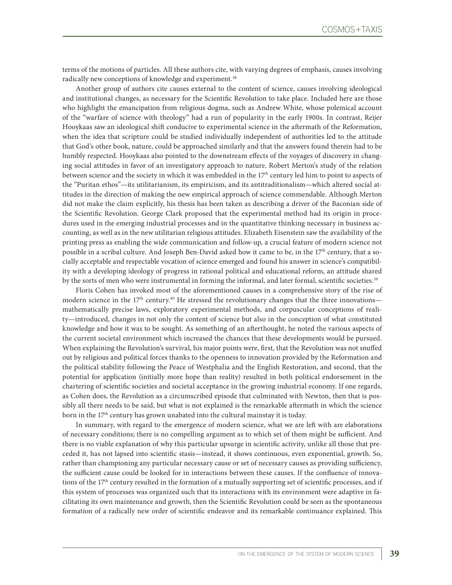terms of the motions of particles. All these authors cite, with varying degrees of emphasis, causes involving radically new conceptions of knowledge and experiment.<sup>38</sup>

Another group of authors cite causes external to the content of science, causes involving ideological and institutional changes, as necessary for the Scientific Revolution to take place. Included here are those who highlight the emancipation from religious dogma, such as Andrew White, whose polemical account of the "warfare of science with theology" had a run of popularity in the early 1900s. In contrast, Reijer Hooykaas saw an ideological shift conducive to experimental science in the aftermath of the Reformation, when the idea that scripture could be studied individually independent of authorities led to the attitude that God's other book, nature, could be approached similarly and that the answers found therein had to be humbly respected. Hooykaas also pointed to the downstream effects of the voyages of discovery in changing social attitudes in favor of an investigatory approach to nature. Robert Merton's study of the relation between science and the society in which it was embedded in the 17th century led him to point to aspects of the "Puritan ethos"—its utilitarianism, its empiricism, and its antitraditionalism—which altered social attitudes in the direction of making the new empirical approach of science commendable. Although Merton did not make the claim explicitly, his thesis has been taken as describing a driver of the Baconian side of the Scientific Revolution. George Clark proposed that the experimental method had its origin in procedures used in the emerging industrial processes and in the quantitative thinking necessary in business accounting, as well as in the new utilitarian religious attitudes. Elizabeth Eisenstein saw the availability of the printing press as enabling the wide communication and follow-up, a crucial feature of modern science not possible in a scribal culture. And Joseph Ben-David asked how it came to be, in the 17<sup>th</sup> century, that a socially acceptable and respectable vocation of science emerged and found his answer in science's compatibility with a developing ideology of progress in rational political and educational reform, an attitude shared by the sorts of men who were instrumental in forming the informal, and later formal, scientific societies.<sup>39</sup>

Floris Cohen has invoked most of the aforementioned causes in a comprehensive story of the rise of modern science in the 17<sup>th</sup> century.<sup>40</sup> He stressed the revolutionary changes that the three innovations mathematically precise laws, exploratory experimental methods, and corpuscular conceptions of reality—introduced, changes in not only the content of science but also in the conception of what constituted knowledge and how it was to be sought. As something of an afterthought, he noted the various aspects of the current societal environment which increased the chances that these developments would be pursued. When explaining the Revolution's survival, his major points were, first, that the Revolution was not snuffed out by religious and political forces thanks to the openness to innovation provided by the Reformation and the political stability following the Peace of Westphalia and the English Restoration, and second, that the potential for application (initially more hope than reality) resulted in both political endorsement in the chartering of scientific societies and societal acceptance in the growing industrial economy. If one regards, as Cohen does, the Revolution as a circumscribed episode that culminated with Newton, then that is possibly all there needs to be said, but what is not explained is the remarkable aftermath in which the science born in the 17<sup>th</sup> century has grown unabated into the cultural mainstay it is today.

In summary, with regard to the emergence of modern science, what we are left with are elaborations of necessary conditions; there is no compelling argument as to which set of them might be sufficient. And there is no viable explanation of why this particular upsurge in scientific activity, unlike all those that preceded it, has not lapsed into scientific stasis—instead, it shows continuous, even exponential, growth. So, rather than championing any particular necessary cause or set of necessary causes as providing sufficiency, the sufficient cause could be looked for in interactions between these causes. If the confluence of innovations of the 17th century resulted in the formation of a mutually supporting set of scientific processes, and if this system of processes was organized such that its interactions with its environment were adaptive in facilitating its own maintenance and growth, then the Scientific Revolution could be seen as the spontaneous formation of a radically new order of scientific endeavor and its remarkable continuance explained. This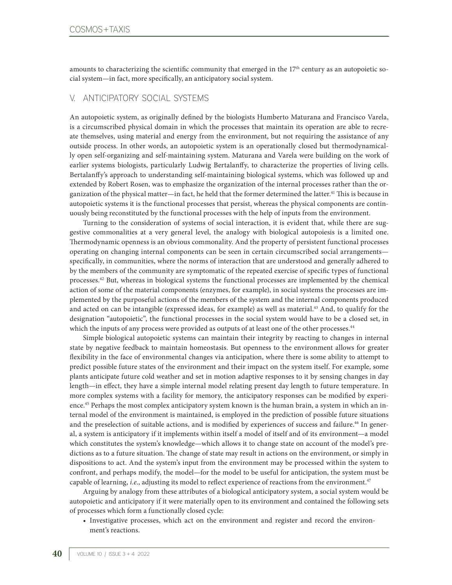amounts to characterizing the scientific community that emerged in the  $17<sup>th</sup>$  century as an autopoietic social system—in fact, more specifically, an anticipatory social system.

#### V. ANTICIPATORY SOCIAL SYSTEMS

An autopoietic system, as originally defined by the biologists Humberto Maturana and Francisco Varela, is a circumscribed physical domain in which the processes that maintain its operation are able to recreate themselves, using material and energy from the environment, but not requiring the assistance of any outside process. In other words, an autopoietic system is an operationally closed but thermodynamically open self-organizing and self-maintaining system. Maturana and Varela were building on the work of earlier systems biologists, particularly Ludwig Bertalanffy, to characterize the properties of living cells. Bertalanffy's approach to understanding self-maintaining biological systems, which was followed up and extended by Robert Rosen, was to emphasize the organization of the internal processes rather than the organization of the physical matter—in fact, he held that the former determined the latter.41 This is because in autopoietic systems it is the functional processes that persist, whereas the physical components are continuously being reconstituted by the functional processes with the help of inputs from the environment.

Turning to the consideration of systems of social interaction, it is evident that, while there are suggestive commonalities at a very general level, the analogy with biological autopoiesis is a limited one. Thermodynamic openness is an obvious commonality. And the property of persistent functional processes operating on changing internal components can be seen in certain circumscribed social arrangements specifically, in communities, where the norms of interaction that are understood and generally adhered to by the members of the community are symptomatic of the repeated exercise of specific types of functional processes.42 But, whereas in biological systems the functional processes are implemented by the chemical action of some of the material components (enzymes, for example), in social systems the processes are implemented by the purposeful actions of the members of the system and the internal components produced and acted on can be intangible (expressed ideas, for example) as well as material.43 And, to qualify for the designation "autopoietic", the functional processes in the social system would have to be a closed set, in which the inputs of any process were provided as outputs of at least one of the other processes.<sup>44</sup>

Simple biological autopoietic systems can maintain their integrity by reacting to changes in internal state by negative feedback to maintain homeostasis. But openness to the environment allows for greater flexibility in the face of environmental changes via anticipation, where there is some ability to attempt to predict possible future states of the environment and their impact on the system itself. For example, some plants anticipate future cold weather and set in motion adaptive responses to it by sensing changes in day length—in effect, they have a simple internal model relating present day length to future temperature. In more complex systems with a facility for memory, the anticipatory responses can be modified by experience.<sup>45</sup> Perhaps the most complex anticipatory system known is the human brain, a system in which an internal model of the environment is maintained, is employed in the prediction of possible future situations and the preselection of suitable actions, and is modified by experiences of success and failure.<sup>46</sup> In general, a system is anticipatory if it implements within itself a model of itself and of its environment—a model which constitutes the system's knowledge—which allows it to change state on account of the model's predictions as to a future situation. The change of state may result in actions on the environment, or simply in dispositions to act. And the system's input from the environment may be processed within the system to confront, and perhaps modify, the model—for the model to be useful for anticipation, the system must be capable of learning, *i.e.*, adjusting its model to reflect experience of reactions from the environment.<sup>47</sup>

Arguing by analogy from these attributes of a biological anticipatory system, a social system would be autopoietic and anticipatory if it were materially open to its environment and contained the following sets of processes which form a functionally closed cycle:

• Investigative processes, which act on the environment and register and record the environment's reactions.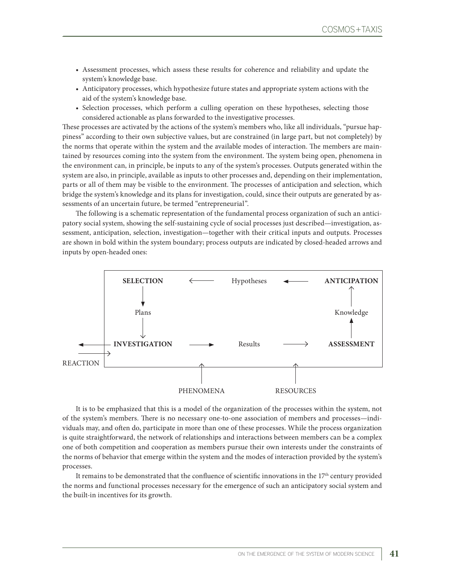- Assessment processes, which assess these results for coherence and reliability and update the system's knowledge base.
- Anticipatory processes, which hypothesize future states and appropriate system actions with the aid of the system's knowledge base.
- Selection processes, which perform a culling operation on these hypotheses, selecting those considered actionable as plans forwarded to the investigative processes.

These processes are activated by the actions of the system's members who, like all individuals, "pursue happiness" according to their own subjective values, but are constrained (in large part, but not completely) by the norms that operate within the system and the available modes of interaction. The members are maintained by resources coming into the system from the environment. The system being open, phenomena in the environment can, in principle, be inputs to any of the system's processes. Outputs generated within the system are also, in principle, available as inputs to other processes and, depending on their implementation, parts or all of them may be visible to the environment. The processes of anticipation and selection, which bridge the system's knowledge and its plans for investigation, could, since their outputs are generated by assessments of an uncertain future, be termed "entrepreneurial".

The following is a schematic representation of the fundamental process organization of such an anticipatory social system, showing the self-sustaining cycle of social processes just described—investigation, assessment, anticipation, selection, investigation—together with their critical inputs and outputs. Processes are shown in bold within the system boundary; process outputs are indicated by closed-headed arrows and inputs by open-headed ones:



It is to be emphasized that this is a model of the organization of the processes within the system, not of the system's members. There is no necessary one-to-one association of members and processes—individuals may, and often do, participate in more than one of these processes. While the process organization is quite straightforward, the network of relationships and interactions between members can be a complex one of both competition and cooperation as members pursue their own interests under the constraints of the norms of behavior that emerge within the system and the modes of interaction provided by the system's processes.

It remains to be demonstrated that the confluence of scientific innovations in the  $17<sup>th</sup>$  century provided the norms and functional processes necessary for the emergence of such an anticipatory social system and the built-in incentives for its growth.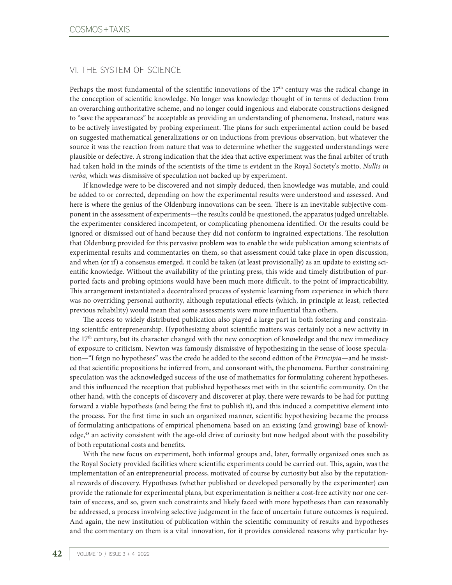# VI. THE SYSTEM OF SCIENCE

Perhaps the most fundamental of the scientific innovations of the  $17<sup>th</sup>$  century was the radical change in the conception of scientific knowledge. No longer was knowledge thought of in terms of deduction from an overarching authoritative scheme, and no longer could ingenious and elaborate constructions designed to "save the appearances" be acceptable as providing an understanding of phenomena. Instead, nature was to be actively investigated by probing experiment. The plans for such experimental action could be based on suggested mathematical generalizations or on inductions from previous observation, but whatever the source it was the reaction from nature that was to determine whether the suggested understandings were plausible or defective. A strong indication that the idea that active experiment was the final arbiter of truth had taken hold in the minds of the scientists of the time is evident in the Royal Society's motto, *Nullis in verba,* which was dismissive of speculation not backed up by experiment.

If knowledge were to be discovered and not simply deduced, then knowledge was mutable, and could be added to or corrected, depending on how the experimental results were understood and assessed. And here is where the genius of the Oldenburg innovations can be seen. There is an inevitable subjective component in the assessment of experiments—the results could be questioned, the apparatus judged unreliable, the experimenter considered incompetent, or complicating phenomena identified. Or the results could be ignored or dismissed out of hand because they did not conform to ingrained expectations. The resolution that Oldenburg provided for this pervasive problem was to enable the wide publication among scientists of experimental results and commentaries on them, so that assessment could take place in open discussion, and when (or if) a consensus emerged, it could be taken (at least provisionally) as an update to existing scientific knowledge. Without the availability of the printing press, this wide and timely distribution of purported facts and probing opinions would have been much more difficult, to the point of impracticability. This arrangement instantiated a decentralized process of systemic learning from experience in which there was no overriding personal authority, although reputational effects (which, in principle at least, reflected previous reliability) would mean that some assessments were more influential than others.

The access to widely distributed publication also played a large part in both fostering and constraining scientific entrepreneurship. Hypothesizing about scientific matters was certainly not a new activity in the  $17<sup>th</sup>$  century, but its character changed with the new conception of knowledge and the new immediacy of exposure to criticism. Newton was famously dismissive of hypothesizing in the sense of loose speculation—"I feign no hypotheses" was the credo he added to the second edition of the *Principia*—and he insisted that scientific propositions be inferred from, and consonant with, the phenomena. Further constraining speculation was the acknowledged success of the use of mathematics for formulating coherent hypotheses, and this influenced the reception that published hypotheses met with in the scientific community. On the other hand, with the concepts of discovery and discoverer at play, there were rewards to be had for putting forward a viable hypothesis (and being the first to publish it), and this induced a competitive element into the process. For the first time in such an organized manner, scientific hypothesizing became the process of formulating anticipations of empirical phenomena based on an existing (and growing) base of knowledge,<sup>48</sup> an activity consistent with the age-old drive of curiosity but now hedged about with the possibility of both reputational costs and benefits.

With the new focus on experiment, both informal groups and, later, formally organized ones such as the Royal Society provided facilities where scientific experiments could be carried out. This, again, was the implementation of an entrepreneurial process, motivated of course by curiosity but also by the reputational rewards of discovery. Hypotheses (whether published or developed personally by the experimenter) can provide the rationale for experimental plans, but experimentation is neither a cost-free activity nor one certain of success, and so, given such constraints and likely faced with more hypotheses than can reasonably be addressed, a process involving selective judgement in the face of uncertain future outcomes is required. And again, the new institution of publication within the scientific community of results and hypotheses and the commentary on them is a vital innovation, for it provides considered reasons why particular hy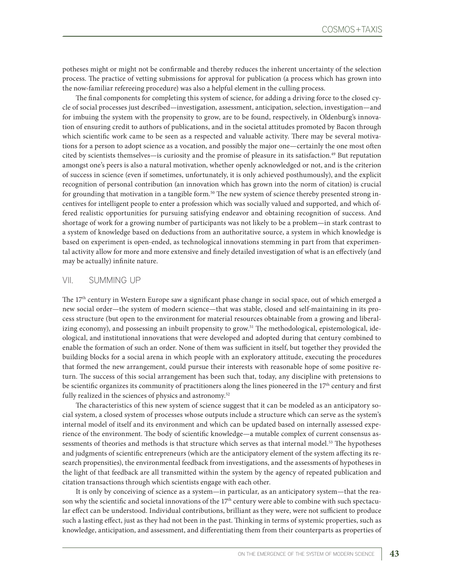potheses might or might not be confirmable and thereby reduces the inherent uncertainty of the selection process. The practice of vetting submissions for approval for publication (a process which has grown into the now-familiar refereeing procedure) was also a helpful element in the culling process.

The final components for completing this system of science, for adding a driving force to the closed cycle of social processes just described—investigation, assessment, anticipation, selection, investigation—and for imbuing the system with the propensity to grow, are to be found, respectively, in Oldenburg's innovation of ensuring credit to authors of publications, and in the societal attitudes promoted by Bacon through which scientific work came to be seen as a respected and valuable activity. There may be several motivations for a person to adopt science as a vocation, and possibly the major one—certainly the one most often cited by scientists themselves—is curiosity and the promise of pleasure in its satisfaction.49 But reputation amongst one's peers is also a natural motivation, whether openly acknowledged or not, and is the criterion of success in science (even if sometimes, unfortunately, it is only achieved posthumously), and the explicit recognition of personal contribution (an innovation which has grown into the norm of citation) is crucial for grounding that motivation in a tangible form.<sup>50</sup> The new system of science thereby presented strong incentives for intelligent people to enter a profession which was socially valued and supported, and which offered realistic opportunities for pursuing satisfying endeavor and obtaining recognition of success. And shortage of work for a growing number of participants was not likely to be a problem—in stark contrast to a system of knowledge based on deductions from an authoritative source, a system in which knowledge is based on experiment is open-ended, as technological innovations stemming in part from that experimental activity allow for more and more extensive and finely detailed investigation of what is an effectively (and may be actually) infinite nature.

#### VII. SUMMING UP

The 17<sup>th</sup> century in Western Europe saw a significant phase change in social space, out of which emerged a new social order—the system of modern science—that was stable, closed and self-maintaining in its process structure (but open to the environment for material resources obtainable from a growing and liberalizing economy), and possessing an inbuilt propensity to grow.<sup>51</sup> The methodological, epistemological, ideological, and institutional innovations that were developed and adopted during that century combined to enable the formation of such an order. None of them was sufficient in itself, but together they provided the building blocks for a social arena in which people with an exploratory attitude, executing the procedures that formed the new arrangement, could pursue their interests with reasonable hope of some positive return. The success of this social arrangement has been such that, today, any discipline with pretensions to be scientific organizes its community of practitioners along the lines pioneered in the 17th century and first fully realized in the sciences of physics and astronomy.<sup>52</sup>

The characteristics of this new system of science suggest that it can be modeled as an anticipatory social system, a closed system of processes whose outputs include a structure which can serve as the system's internal model of itself and its environment and which can be updated based on internally assessed experience of the environment. The body of scientific knowledge—a mutable complex of current consensus assessments of theories and methods is that structure which serves as that internal model.<sup>53</sup> The hypotheses and judgments of scientific entrepreneurs (which are the anticipatory element of the system affecting its research propensities), the environmental feedback from investigations, and the assessments of hypotheses in the light of that feedback are all transmitted within the system by the agency of repeated publication and citation transactions through which scientists engage with each other.

It is only by conceiving of science as a system—in particular, as an anticipatory system—that the reason why the scientific and societal innovations of the  $17<sup>th</sup>$  century were able to combine with such spectacular effect can be understood. Individual contributions, brilliant as they were, were not sufficient to produce such a lasting effect, just as they had not been in the past. Thinking in terms of systemic properties, such as knowledge, anticipation, and assessment, and differentiating them from their counterparts as properties of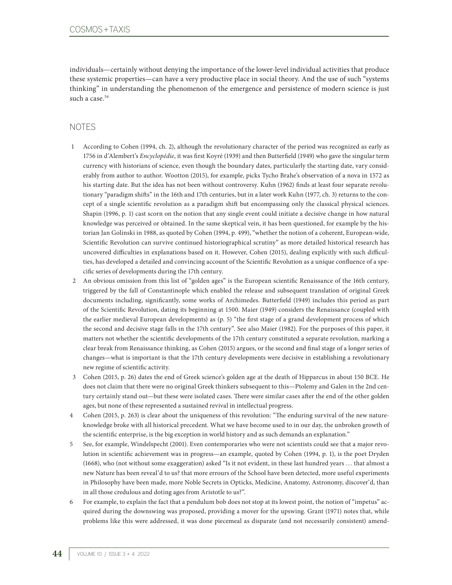individuals—certainly without denying the importance of the lower-level individual activities that produce these systemic properties—can have a very productive place in social theory. And the use of such "systems thinking" in understanding the phenomenon of the emergence and persistence of modern science is just such a case.<sup>54</sup>

### NOTES

- 1 According to Cohen (1994, ch. 2), although the revolutionary character of the period was recognized as early as 1756 in d'Alembert's *Encyclopédie*, it was first Koyré (1939) and then Butterfield (1949) who gave the singular term currency with historians of science, even though the boundary dates, particularly the starting date, vary considerably from author to author. Wootton (2015), for example, picks Tycho Brahe's observation of a nova in 1572 as his starting date. But the idea has not been without controversy. Kuhn (1962) finds at least four separate revolutionary "paradigm shifts" in the 16th and 17th centuries, but in a later work Kuhn (1977, ch. 3) returns to the concept of a single scientific revolution as a paradigm shift but encompassing only the classical physical sciences. Shapin (1996, p. 1) cast scorn on the notion that any single event could initiate a decisive change in how natural knowledge was perceived or obtained. In the same skeptical vein, it has been questioned, for example by the historian Jan Golinski in 1988, as quoted by Cohen (1994, p. 499), "whether the notion of a coherent, European-wide, Scientific Revolution can survive continued historiographical scrutiny" as more detailed historical research has uncovered difficulties in explanations based on it. However, Cohen (2015), dealing explicitly with such difficulties, has developed a detailed and convincing account of the Scientific Revolution as a unique confluence of a specific series of developments during the 17th century.
- 2 An obvious omission from this list of "golden ages" is the European scientific Renaissance of the 16th century, triggered by the fall of Constantinople which enabled the release and subsequent translation of original Greek documents including, significantly, some works of Archimedes. Butterfield (1949) includes this period as part of the Scientific Revolution, dating its beginning at 1500. Maier (1949) considers the Renaissance (coupled with the earlier medieval European developments) as (p. 5) "the first stage of a grand development process of which the second and decisive stage falls in the 17th century". See also Maier (1982). For the purposes of this paper, it matters not whether the scientific developments of the 17th century constituted a separate revolution, marking a clear break from Renaissance thinking, as Cohen (2015) argues, or the second and final stage of a longer series of changes—what is important is that the 17th century developments were decisive in establishing a revolutionary new regime of scientific activity.
- 3 Cohen (2015, p. 26) dates the end of Greek science's golden age at the death of Hipparcus in about 150 BCE. He does not claim that there were no original Greek thinkers subsequent to this—Ptolemy and Galen in the 2nd century certainly stand out—but these were isolated cases. There were similar cases after the end of the other golden ages, but none of these represented a sustained revival in intellectual progress.
- 4 Cohen (2015, p. 263) is clear about the uniqueness of this revolution: "The enduring survival of the new natureknowledge broke with all historical precedent. What we have become used to in our day, the unbroken growth of the scientific enterprise, is the big exception in world history and as such demands an explanation."
- 5 See, for example, Windelspecht (2001). Even contemporaries who were not scientists could see that a major revolution in scientific achievement was in progress—an example, quoted by Cohen (1994, p. 1), is the poet Dryden (1668), who (not without some exaggeration) asked "Is it not evident, in these last hundred years … that almost a new Nature has been reveal'd to us? that more errours of the School have been detected, more useful experiments in Philosophy have been made, more Noble Secrets in Opticks, Medicine, Anatomy, Astronomy, discover'd, than in all those credulous and doting ages from Aristotle to us?".
- 6 For example, to explain the fact that a pendulum bob does not stop at its lowest point, the notion of "impetus" acquired during the downswing was proposed, providing a mover for the upswing. Grant (1971) notes that, while problems like this were addressed, it was done piecemeal as disparate (and not necessarily consistent) amend-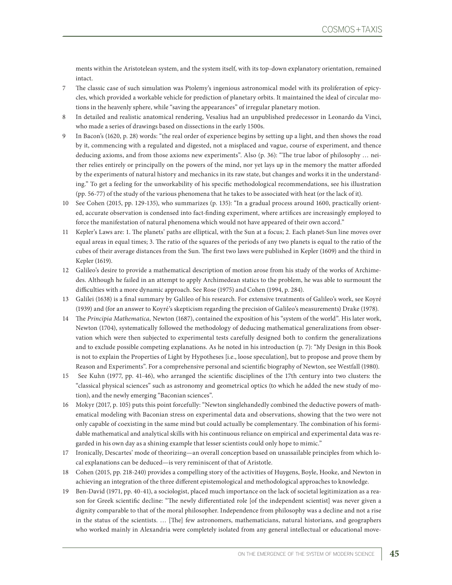ments within the Aristotelean system, and the system itself, with its top-down explanatory orientation, remained intact.

- 7 The classic case of such simulation was Ptolemy's ingenious astronomical model with its proliferation of epicycles, which provided a workable vehicle for prediction of planetary orbits. It maintained the ideal of circular motions in the heavenly sphere, while "saving the appearances" of irregular planetary motion.
- 8 In detailed and realistic anatomical rendering, Vesalius had an unpublished predecessor in Leonardo da Vinci, who made a series of drawings based on dissections in the early 1500s.
- 9 In Bacon's (1620, p. 28) words: "the real order of experience begins by setting up a light, and then shows the road by it, commencing with a regulated and digested, not a misplaced and vague, course of experiment, and thence deducing axioms, and from those axioms new experiments". Also (p. 36): "The true labor of philosophy … neither relies entirely or principally on the powers of the mind, nor yet lays up in the memory the matter afforded by the experiments of natural history and mechanics in its raw state, but changes and works it in the understanding." To get a feeling for the unworkability of his specific methodological recommendations, see his illustration (pp. 56-77) of the study of the various phenomena that he takes to be associated with heat (or the lack of it).
- 10 See Cohen (2015, pp. 129-135), who summarizes (p. 135): "In a gradual process around 1600, practically oriented, accurate observation is condensed into fact-finding experiment, where artifices are increasingly employed to force the manifestation of natural phenomena which would not have appeared of their own accord."
- 11 Kepler's Laws are: 1. The planets' paths are elliptical, with the Sun at a focus; 2. Each planet-Sun line moves over equal areas in equal times; 3. The ratio of the squares of the periods of any two planets is equal to the ratio of the cubes of their average distances from the Sun. The first two laws were published in Kepler (1609) and the third in Kepler (1619).
- 12 Galileo's desire to provide a mathematical description of motion arose from his study of the works of Archimedes. Although he failed in an attempt to apply Archimedean statics to the problem, he was able to surmount the difficulties with a more dynamic approach. See Rose (1975) and Cohen (1994, p. 284).
- 13 Galilei (1638) is a final summary by Galileo of his research. For extensive treatments of Galileo's work, see Koyré (1939) and (for an answer to Koyré's skepticism regarding the precision of Galileo's measurements) Drake (1978).
- 14 The *Principia Mathematica,* Newton (1687), contained the exposition of his "system of the world". His later work, Newton (1704), systematically followed the methodology of deducing mathematical generalizations from observation which were then subjected to experimental tests carefully designed both to confirm the generalizations and to exclude possible competing explanations. As he noted in his introduction (p. 7): "My Design in this Book is not to explain the Properties of Light by Hypotheses [i.e., loose speculation], but to propose and prove them by Reason and Experiments". For a comprehensive personal and scientific biography of Newton, see Westfall (1980).
- 15 See Kuhn (1977, pp. 41-46), who arranged the scientific disciplines of the 17th century into two clusters: the "classical physical sciences" such as astronomy and geometrical optics (to which he added the new study of motion), and the newly emerging "Baconian sciences".
- 16 Mokyr (2017, p. 105) puts this point forcefully: "Newton singlehandedly combined the deductive powers of mathematical modeling with Baconian stress on experimental data and observations, showing that the two were not only capable of coexisting in the same mind but could actually be complementary. The combination of his formidable mathematical and analytical skills with his continuous reliance on empirical and experimental data was regarded in his own day as a shining example that lesser scientists could only hope to mimic."
- 17 Ironically, Descartes' mode of theorizing—an overall conception based on unassailable principles from which local explanations can be deduced—is very reminiscent of that of Aristotle.
- 18 Cohen (2015, pp. 218-240) provides a compelling story of the activities of Huygens, Boyle, Hooke, and Newton in achieving an integration of the three different epistemological and methodological approaches to knowledge.
- 19 Ben-David (1971, pp. 40-41), a sociologist, placed much importance on the lack of societal legitimization as a reason for Greek scientific decline: "The newly differentiated role [of the independent scientist] was never given a dignity comparable to that of the moral philosopher. Independence from philosophy was a decline and not a rise in the status of the scientists. … [The] few astronomers, mathematicians, natural historians, and geographers who worked mainly in Alexandria were completely isolated from any general intellectual or educational move-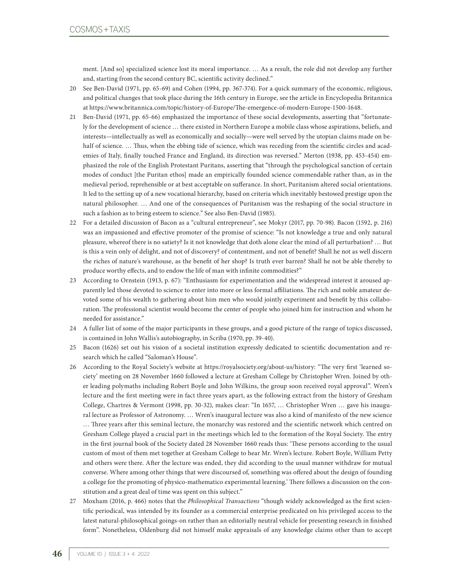ment. [And so] specialized science lost its moral importance. … As a result, the role did not develop any further and, starting from the second century BC, scientific activity declined."

- 20 See Ben-David (1971, pp. 65-69) and Cohen (1994, pp. 367-374). For a quick summary of the economic, religious, and political changes that took place during the 16th century in Europe, see the article in Encyclopedia Britannica at https://www.britannica.com/topic/history-of-Europe/The-emergence-of-modern-Europe-1500-1648.
- 21 Ben-David (1971, pp. 65-66) emphasized the importance of these social developments, asserting that "fortunately for the development of science … there existed in Northern Europe a mobile class whose aspirations, beliefs, and interests—intellectually as well as economically and socially—were well served by the utopian claims made on behalf of science. ... Thus, when the ebbing tide of science, which was receding from the scientific circles and academies of Italy, finally touched France and England, its direction was reversed." Merton (1938, pp. 453-454) emphasized the role of the English Protestant Puritans, asserting that "through the psychological sanction of certain modes of conduct [the Puritan ethos] made an empirically founded science commendable rather than, as in the medieval period, reprehensible or at best acceptable on sufferance. In short, Puritanism altered social orientations. It led to the setting up of a new vocational hierarchy, based on criteria which inevitably bestowed prestige upon the natural philosopher. … And one of the consequences of Puritanism was the reshaping of the social structure in such a fashion as to bring esteem to science." See also Ben-David (1985).
- 22 For a detailed discussion of Bacon as a "cultural entrepreneur", see Mokyr (2017, pp. 70-98). Bacon (1592, p. 216) was an impassioned and effective promoter of the promise of science: "Is not knowledge a true and only natural pleasure, whereof there is no satiety? Is it not knowledge that doth alone clear the mind of all perturbation? … But is this a vein only of delight, and not of discovery? of contentment, and not of benefit? Shall he not as well discern the riches of nature's warehouse, as the benefit of her shop? Is truth ever barren? Shall he not be able thereby to produce worthy effects, and to endow the life of man with infinite commodities?"
- 23 According to Ornstein (1913, p. 67): "Enthusiasm for experimentation and the widespread interest it aroused apparently led those devoted to science to enter into more or less formal affiliations. The rich and noble amateur devoted some of his wealth to gathering about him men who would jointly experiment and benefit by this collaboration. The professional scientist would become the center of people who joined him for instruction and whom he needed for assistance."
- 24 A fuller list of some of the major participants in these groups, and a good picture of the range of topics discussed, is contained in John Wallis's autobiography, in Scriba (1970, pp. 39-40).
- 25 Bacon (1626) set out his vision of a societal institution expressly dedicated to scientific documentation and research which he called "Saloman's House".
- 26 According to the Royal Society's website at https://royalsociety.org/about-us/history: "The very first 'learned society' meeting on 28 November 1660 followed a lecture at Gresham College by Christopher Wren. Joined by other leading polymaths including Robert Boyle and John Wilkins, the group soon received royal approval". Wren's lecture and the first meeting were in fact three years apart, as the following extract from the history of Gresham College, Chartres & Vermont (1998, pp. 30-32), makes clear: "In 1657, … Christopher Wren … gave his inaugural lecture as Professor of Astronomy. … Wren's inaugural lecture was also a kind of manifesto of the new science … Three years after this seminal lecture, the monarchy was restored and the scientific network which centred on Gresham College played a crucial part in the meetings which led to the formation of the Royal Society. The entry in the first journal book of the Society dated 28 November 1660 reads thus: 'These persons according to the usual custom of most of them met together at Gresham College to hear Mr. Wren's lecture. Robert Boyle, William Petty and others were there. After the lecture was ended, they did according to the usual manner withdraw for mutual converse. Where among other things that were discoursed of, something was offered about the design of founding a college for the promoting of physico-mathematico experimental learning.' There follows a discussion on the constitution and a great deal of time was spent on this subject."
- 27 Moxham (2016, p. 466) notes that the *Philosophical Transactions* "though widely acknowledged as the first scientific periodical, was intended by its founder as a commercial enterprise predicated on his privileged access to the latest natural-philosophical goings-on rather than an editorially neutral vehicle for presenting research in finished form". Nonetheless, Oldenburg did not himself make appraisals of any knowledge claims other than to accept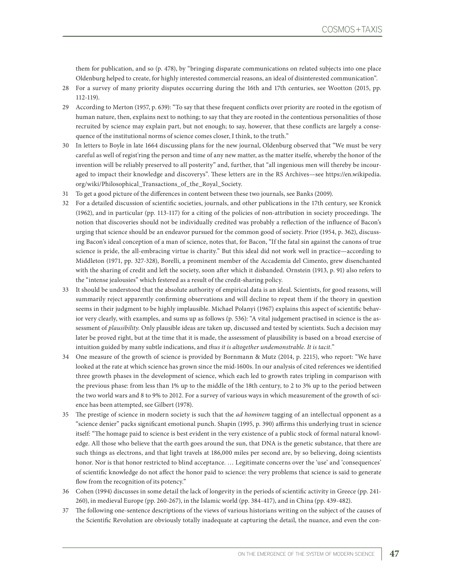them for publication, and so (p. 478), by "bringing disparate communications on related subjects into one place Oldenburg helped to create, for highly interested commercial reasons, an ideal of disinterested communication".

- 28 For a survey of many priority disputes occurring during the 16th and 17th centuries, see Wootton (2015, pp. 112-119).
- 29 According to Merton (1957, p. 639): "To say that these frequent conflicts over priority are rooted in the egotism of human nature, then, explains next to nothing; to say that they are rooted in the contentious personalities of those recruited by science may explain part, but not enough; to say, however, that these conflicts are largely a consequence of the institutional norms of science comes closer, I think, to the truth."
- 30 In letters to Boyle in late 1664 discussing plans for the new journal, Oldenburg observed that "We must be very careful as well of regist'ring the person and time of any new matter, as the matter itselfe, whereby the honor of the invention will be reliably preserved to all posterity" and, further, that "all ingenious men will thereby be incouraged to impact their knowledge and discoverys". These letters are in the RS Archives—see https://en.wikipedia. org/wiki/Philosophical\_Transactions\_of\_the\_Royal\_Society.
- 31 To get a good picture of the differences in content between these two journals, see Banks (2009).
- 32 For a detailed discussion of scientific societies, journals, and other publications in the 17th century, see Kronick (1962), and in particular (pp. 113-117) for a citing of the policies of non-attribution in society proceedings. The notion that discoveries should not be individually credited was probably a reflection of the influence of Bacon's urging that science should be an endeavor pursued for the common good of society. Prior (1954, p. 362), discussing Bacon's ideal conception of a man of science, notes that, for Bacon, "If the fatal sin against the canons of true science is pride, the all-embracing virtue is charity." But this ideal did not work well in practice—according to Middleton (1971, pp. 327-328), Borelli, a prominent member of the Accademia del Cimento, grew disenchanted with the sharing of credit and left the society, soon after which it disbanded. Ornstein (1913, p. 91) also refers to the "intense jealousies" which festered as a result of the credit-sharing policy.
- 33 It should be understood that the absolute authority of empirical data is an ideal. Scientists, for good reasons, will summarily reject apparently confirming observations and will decline to repeat them if the theory in question seems in their judgment to be highly implausible. Michael Polanyi (1967) explains this aspect of scientific behavior very clearly, with examples, and sums up as follows (p. 536): "A vital judgement practised in science is the assessment of *plausibility*. Only plausible ideas are taken up, discussed and tested by scientists. Such a decision may later be proved right, but at the time that it is made, the assessment of plausibility is based on a broad exercise of intuition guided by many subtle indications, and *thus it is altogether undemonstrable. It is tacit.*"
- 34 One measure of the growth of science is provided by Bornmann & Mutz (2014, p. 2215), who report: "We have looked at the rate at which science has grown since the mid-1600s. In our analysis of cited references we identified three growth phases in the development of science, which each led to growth rates tripling in comparison with the previous phase: from less than 1% up to the middle of the 18th century, to 2 to 3% up to the period between the two world wars and 8 to 9% to 2012. For a survey of various ways in which measurement of the growth of science has been attempted, see Gilbert (1978).
- 35 The prestige of science in modern society is such that the *ad hominem* tagging of an intellectual opponent as a "science denier" packs significant emotional punch. Shapin (1995, p. 390) affirms this underlying trust in science itself: "The homage paid to science is best evident in the very existence of a public stock of formal natural knowledge. All those who believe that the earth goes around the sun, that DNA is the genetic substance, that there are such things as electrons, and that light travels at 186,000 miles per second are, by so believing, doing scientists honor. Nor is that honor restricted to blind acceptance. … Legitimate concerns over the 'use' and 'consequences' of scientific knowledge do not affect the honor paid to science: the very problems that science is said to generate flow from the recognition of its potency."
- 36 Cohen (1994) discusses in some detail the lack of longevity in the periods of scientific activity in Greece (pp. 241- 260), in medieval Europe (pp. 260-267), in the Islamic world (pp. 384-417), and in China (pp. 439-482).
- 37 The following one-sentence descriptions of the views of various historians writing on the subject of the causes of the Scientific Revolution are obviously totally inadequate at capturing the detail, the nuance, and even the con-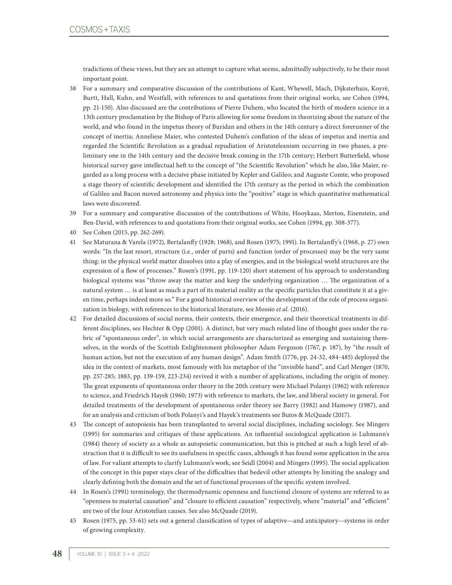tradictions of these views, but they are an attempt to capture what seems, admittedly subjectively, to be their most important point.

- 38 For a summary and comparative discussion of the contributions of Kant, Whewell, Mach, Dijksterhuis, Koyré, Burtt, Hall, Kuhn, and Westfall, with references to and quotations from their original works, see Cohen (1994, pp. 21-150). Also discussed are the contributions of Pierre Duhem, who located the birth of modern science in a 13th century proclamation by the Bishop of Paris allowing for some freedom in theorizing about the nature of the world, and who found in the impetus theory of Buridan and others in the 14th century a direct forerunner of the concept of inertia; Anneliese Maier, who contested Duhem's conflation of the ideas of impetus and inertia and regarded the Scientific Revolution as a gradual repudiation of Aristoteleanism occurring in two phases, a preliminary one in the 14th century and the decisive break coming in the 17th century; Herbert Butterfield, whose historical survey gave intellectual heft to the concept of "the Scientific Revolution" which he also, like Maier, regarded as a long process with a decisive phase initiated by Kepler and Galileo; and Auguste Comte, who proposed a stage theory of scientific development and identified the 17th century as the period in which the combination of Galileo and Bacon moved astronomy and physics into the "positive" stage in which quantitative mathematical laws were discovered.
- 39 For a summary and comparative discussion of the contributions of White, Hooykaas, Merton, Eisenstein, and Ben-David, with references to and quotations from their original works, see Cohen (1994, pp. 308-377).
- 40 See Cohen (2015, pp. 262-269).
- 41 See Maturana & Varela (1972), Bertalanffy (1928; 1968), and Rosen (1975; 1991). In Bertalanffy's (1968, p. 27) own words: "In the last resort, structure (i.e., order of parts) and function (order of processes) may be the very same thing: in the physical world matter dissolves into a play of energies, and in the biological world structures are the expression of a flow of processes." Rosen's (1991, pp. 119-120) short statement of his approach to understanding biological systems was "throw away the matter and keep the underlying organization … The organization of a natural system ... is at least as much a part of its material reality as the specific particles that constitute it at a given time, perhaps indeed more so." For a good historical overview of the development of the role of process organization in biology, with references to the historical literature, see Mossio *et al.* (2016).
- 42 For detailed discussions of social norms, their contexts, their emergence, and their theoretical treatments in different disciplines, see Hechter & Opp (2001). A distinct, but very much related line of thought goes under the rubric of "spontaneous order", in which social arrangements are characterized as emerging and sustaining themselves, in the words of the Scottish Enlightenment philosopher Adam Ferguson (1767, p. 187), by "the result of human action, but not the execution of any human design". Adam Smith (1776, pp. 24-32, 484-485) deployed the idea in the context of markets, most famously with his metaphor of the "invisible hand", and Carl Menger (1870, pp. 257-285; 1883, pp. 139-159, 223-234) revived it with a number of applications, including the origin of money. The great exponents of spontaneous order theory in the 20th century were Michael Polanyi (1962) with reference to science, and Friedrich Hayek (1960; 1973) with reference to markets, the law, and liberal society in general. For detailed treatments of the development of spontaneous order theory see Barry (1982) and Hamowy (1987), and for an analysis and criticism of both Polanyi's and Hayek's treatments see Butos & McQuade (2017).
- 43 The concept of autopoiesis has been transplanted to several social disciplines, including sociology. See Mingers (1995) for summaries and critiques of these applications. An influential sociological application is Luhmann's (1984) theory of society as a whole as autopoietic communication, but this is pitched at such a high level of abstraction that it is difficult to see its usefulness in specific cases, although it has found some application in the area of law. For valiant attempts to clarify Luhmann's work, see Seidl (2004) and Mingers (1995). The social application of the concept in this paper stays clear of the difficulties that bedevil other attempts by limiting the analogy and clearly defining both the domain and the set of functional processes of the specific system involved.
- 44 In Rosen's (1991) terminology, the thermodynamic openness and functional closure of systems are referred to as "openness to material causation" and "closure to efficient causation" respectively, where "material" and "efficient" are two of the four Aristotelian causes. See also McQuade (2019).
- 45 Rosen (1975, pp. 53-61) sets out a general classification of types of adaptive—and anticipatory—systems in order of growing complexity.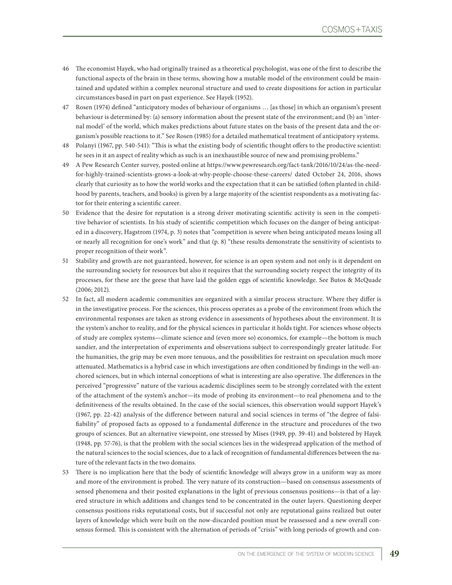- 46 The economist Hayek, who had originally trained as a theoretical psychologist, was one of the first to describe the functional aspects of the brain in these terms, showing how a mutable model of the environment could be maintained and updated within a complex neuronal structure and used to create dispositions for action in particular circumstances based in part on past experience. See Hayek (1952).
- 47 Rosen (1974) defined "anticipatory modes of behaviour of organisms … [as those] in which an organism's present behaviour is determined by: (a) sensory information about the present state of the environment; and (b) an 'internal model' of the world, which makes predictions about future states on the basis of the present data and the organism's possible reactions to it." See Rosen (1985) for a detailed mathematical treatment of anticipatory systems.
- 48 Polanyi (1967, pp. 540-541): "This is what the existing body of scientific thought offers to the productive scientist: he sees in it an aspect of reality which as such is an inexhaustible source of new and promising problems."
- 49 A Pew Research Center survey, posted online at https://www.pewresearch.org/fact-tank/2016/10/24/as-the-needfor-highly-trained-scientists-grows-a-look-at-why-people-choose-these-careers/ dated October 24, 2016, shows clearly that curiosity as to how the world works and the expectation that it can be satisfied (often planted in childhood by parents, teachers, and books) is given by a large majority of the scientist respondents as a motivating factor for their entering a scientific career.
- 50 Evidence that the desire for reputation is a strong driver motivating scientific activity is seen in the competitive behavior of scientists. In his study of scientific competition which focuses on the danger of being anticipated in a discovery, Hagstrom (1974, p. 3) notes that "competition is severe when being anticipated means losing all or nearly all recognition for one's work" and that (p. 8) "these results demonstrate the sensitivity of scientists to proper recognition of their work".
- 51 Stability and growth are not guaranteed, however, for science is an open system and not only is it dependent on the surrounding society for resources but also it requires that the surrounding society respect the integrity of its processes, for these are the geese that have laid the golden eggs of scientific knowledge. See Butos & McQuade (2006; 2012).
- 52 In fact, all modern academic communities are organized with a similar process structure. Where they differ is in the investigative process. For the sciences, this process operates as a probe of the environment from which the environmental responses are taken as strong evidence in assessments of hypotheses about the environment. It is the system's anchor to reality, and for the physical sciences in particular it holds tight. For sciences whose objects of study are complex systems—climate science and (even more so) economics, for example—the bottom is much sandier, and the interpretation of experiments and observations subject to correspondingly greater latitude. For the humanities, the grip may be even more tenuous, and the possibilities for restraint on speculation much more attenuated. Mathematics is a hybrid case in which investigations are often conditioned by findings in the well-anchored sciences, but in which internal conceptions of what is interesting are also operative. The differences in the perceived "progressive" nature of the various academic disciplines seem to be strongly correlated with the extent of the attachment of the system's anchor—its mode of probing its environment—to real phenomena and to the definitiveness of the results obtained. In the case of the social sciences, this observation would support Hayek's (1967, pp. 22-42) analysis of the difference between natural and social sciences in terms of "the degree of falsifiability" of proposed facts as opposed to a fundamental difference in the structure and procedures of the two groups of sciences. But an alternative viewpoint, one stressed by Mises (1949, pp. 39-41) and bolstered by Hayek (1948, pp. 57-76), is that the problem with the social sciences lies in the widespread application of the method of the natural sciences to the social sciences, due to a lack of recognition of fundamental differences between the nature of the relevant facts in the two domains.
- 53 There is no implication here that the body of scientific knowledge will always grow in a uniform way as more and more of the environment is probed. The very nature of its construction—based on consensus assessments of sensed phenomena and their posited explanations in the light of previous consensus positions—is that of a layered structure in which additions and changes tend to be concentrated in the outer layers. Questioning deeper consensus positions risks reputational costs, but if successful not only are reputational gains realized but outer layers of knowledge which were built on the now-discarded position must be reassessed and a new overall consensus formed. This is consistent with the alternation of periods of "crisis" with long periods of growth and con-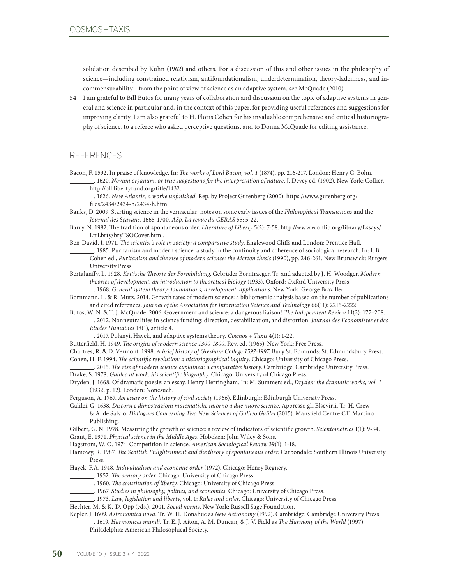solidation described by Kuhn (1962) and others. For a discussion of this and other issues in the philosophy of science—including constrained relativism, antifoundationalism, underdetermination, theory-ladenness, and incommensurability—from the point of view of science as an adaptive system, see McQuade (2010).

54 I am grateful to Bill Butos for many years of collaboration and discussion on the topic of adaptive systems in general and science in particular and, in the context of this paper, for providing useful references and suggestions for improving clarity. I am also grateful to H. Floris Cohen for his invaluable comprehensive and critical historiography of science, to a referee who asked perceptive questions, and to Donna McQuade for editing assistance.

#### **REFERENCES**

Bacon, F. 1592. In praise of knowledge. In: *The works of Lord Bacon, vol. 1* (1874), pp. 216-217. London: Henry G. Bohn. . 1620. *Novum organum, or true suggestions for the interpretation of nature*. J. Devey ed. (1902). New York: Collier. http://oll.libertyfund.org/title/1432.

 . 1626. *New Atlantis, a worke unfinished*. Rep. by Project Gutenberg (2000). https://www.gutenberg.org/ files/2434/2434-h/2434-h.htm.

Banks, D. 2009. Starting science in the vernacular: notes on some early issues of the *Philosophical Transactions* and the *Journal des Sçavans*, 1665-1700. *ASp. La revue du GERAS* 55: 5-22.

Barry, N. 1982. The tradition of spontaneous order. *Literature of Liberty* 5(2): 7-58. http://www.econlib.org/library/Essays/ LtrLbrty/bryTSOCover.html.

Ben-David, J. 1971. *The scientist's role in society: a comparative study*. Englewood Cliffs and London: Prentice Hall.

 . 1985. Puritanism and modern science: a study in the continuity and coherence of sociological research. In: I. B. Cohen ed., *Puritanism and the rise of modern science: the Merton thesis* (1990), pp. 246-261. New Brunswick: Rutgers University Press.

Bertalanffy, L. 1928. *Kritische Theorie der Formbildung*. Gebrüder Borntraeger. Tr. and adapted by J. H. Woodger, *Modern theories of development: an introduction to theoretical biology* (1933). Oxford: Oxford University Press.

. 1968. *General system theory: foundations, development, applications*. New York: George Braziller.

Bornmann, L. & R. Mutz. 2014. Growth rates of modern science: a bibliometric analysis based on the number of publications and cited references. *Journal of the Association for Information Science and Technology* 66(11): 2215-2222.

Butos, W. N. & T. J. McQuade. 2006. Government and science: a dangerous liaison? *The Independent Review* 11(2): 177–208. . 2012. Nonneutralities in science funding: direction, destabilization, and distortion. *Journal des Economistes et des* 

*Etudes Humaines* 18(1), article 4.

. 2017. Polanyi, Hayek, and adaptive systems theory. *Cosmos + Taxis* 4(1): 1-22.

Butterfield, H. 1949. *The origins of modern science 1300-1800*. Rev. ed. (1965). New York: Free Press.

Chartres, R. & D. Vermont. 1998. *A brief history of Gresham College 1597-1997*. Bury St. Edmunds: St. Edmundsbury Press. Cohen, H. F. 1994. *The scientific revolution: a historiographical inquiry*. Chicago: University of Chicago Press.

. 2015. *The rise of modern science explained: a comparative history*. Cambridge: Cambridge University Press.

Drake, S. 1978. *Galileo at work: his scientific biography*. Chicago: University of Chicago Press.

Dryden, J. 1668. Of dramatic poesie: an essay. Henry Herringham. In: M. Summers ed., *Dryden: the dramatic works, vol. 1* (1932, p. 12). London: Nonesuch.

Ferguson, A. 1767. *An essay on the history of civil society* (1966). Edinburgh: Edinburgh University Press.

Galilei, G. 1638. *Discorsi e dimostrazioni matematiche intorno a due nuove scienze*. Appresso gli Elsevirii. Tr. H. Crew & A. de Salvio, *Dialogues Concerning Two New Sciences of Galileo Galilei* (2015). Mansfield Centre CT: Martino Publishing.

Gilbert, G. N. 1978. Measuring the growth of science: a review of indicators of scientific growth. *Scientometrics* 1(1): 9-34. Grant, E. 1971. *Physical science in the Middle Ages*. Hoboken: John Wiley & Sons.

Hagstrom, W. O. 1974. Competition in science. *American Sociological Review* 39(1): 1-18.

Hamowy, R. 1987. *The Scottish Enlightenment and the theory of spontaneous order*. Carbondale: Southern Illinois University Press.

Hayek, F.A. 1948. *Individualism and economic order* (1972). Chicago: Henry Regnery.

. 1952. *The sensory order*. Chicago: University of Chicago Press.

. 1960. *The constitution of liberty*. Chicago: University of Chicago Press.

. 1967. *Studies in philosophy, politics, and economics*. Chicago: University of Chicago Press.

. 1973. *Law, legislation and liberty*, vol. 1: *Rules and order*. Chicago: University of Chicago Press.

Hechter, M. & K.-D. Opp (eds.). 2001. *Social norms*. New York: Russell Sage Foundation.

Kepler, J. 1609. *Astronomica nova*. Tr. W. H. Donahue as *New Astronomy* (1992). Cambridge: Cambridge University Press. . 1619. *Harmonices mundi*. Tr. E. J. Aiton, A. M. Duncan, & J. V. Field as *The Harmony of the World* (1997).